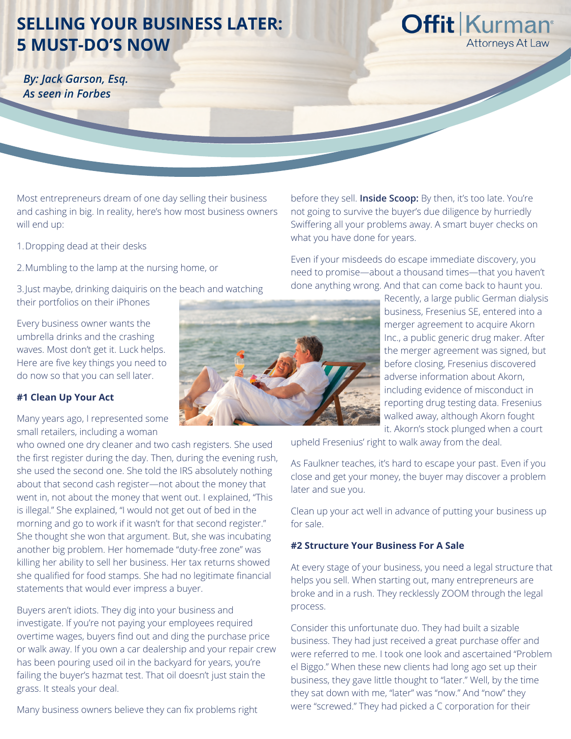# **SELLING YOUR BUSINESS LATER: 5 MUST-DO'S NOW**

*By: Jack Garson, Esq. As seen in Forbes*

Most entrepreneurs dream of one day selling their business and cashing in big. In reality, here's how most business owners will end up:

- 1.Dropping dead at their desks
- 2.Mumbling to the lamp at the nursing home, or

3.Just maybe, drinking daiquiris on the beach and watching their portfolios on their iPhones

Every business owner wants the umbrella drinks and the crashing waves. Most don't get it. Luck helps. Here are five key things you need to do now so that you can sell later.

#### **#1 Clean Up Your Act**

Many years ago, I represented some small retailers, including a woman

who owned one dry cleaner and two cash registers. She used the first register during the day. Then, during the evening rush, she used the second one. She told the IRS absolutely nothing about that second cash register—not about the money that went in, not about the money that went out. I explained, "This is illegal." She explained, "I would not get out of bed in the morning and go to work if it wasn't for that second register." She thought she won that argument. But, she was incubating another big problem. Her homemade "duty-free zone" was killing her ability to sell her business. Her tax returns showed she qualified for food stamps. She had no legitimate financial statements that would ever impress a buyer.

Buyers aren't idiots. They dig into your business and investigate. If you're not paying your employees required overtime wages, buyers find out and ding the purchase price or walk away. If you own a car dealership and your repair crew has been pouring used oil in the backyard for years, you're failing the buyer's hazmat test. That oil doesn't just stain the grass. It steals your deal.

Many business owners believe they can fix problems right

not going to survive the buyer's due diligence by hurriedly Swiffering all your problems away. A smart buyer checks on what you have done for years.

before they sell. **Inside Scoop:** By then, it's too late. You're

Even if your misdeeds do escape immediate discovery, you need to promise—about a thousand times—that you haven't done anything wrong. And that can come back to haunt you.

> Recently, a large public German dialysis business, Fresenius SE, entered into a merger agreement to acquire Akorn Inc., a public generic drug maker. After the merger agreement was signed, but before closing, Fresenius discovered adverse information about Akorn, including evidence of misconduct in reporting drug testing data. Fresenius walked away, although Akorn fought it. Akorn's stock plunged when a court

upheld Fresenius' right to walk away from the deal.

As Faulkner teaches, it's hard to escape your past. Even if you close and get your money, the buyer may discover a problem later and sue you.

Clean up your act well in advance of putting your business up for sale.

## **#2 Structure Your Business For A Sale**

At every stage of your business, you need a legal structure that helps you sell. When starting out, many entrepreneurs are broke and in a rush. They recklessly ZOOM through the legal process.

Consider this unfortunate duo. They had built a sizable business. They had just received a great purchase offer and were referred to me. I took one look and ascertained "Problem el Biggo." When these new clients had long ago set up their business, they gave little thought to "later." Well, by the time they sat down with me, "later" was "now." And "now" they were "screwed." They had picked a C corporation for their



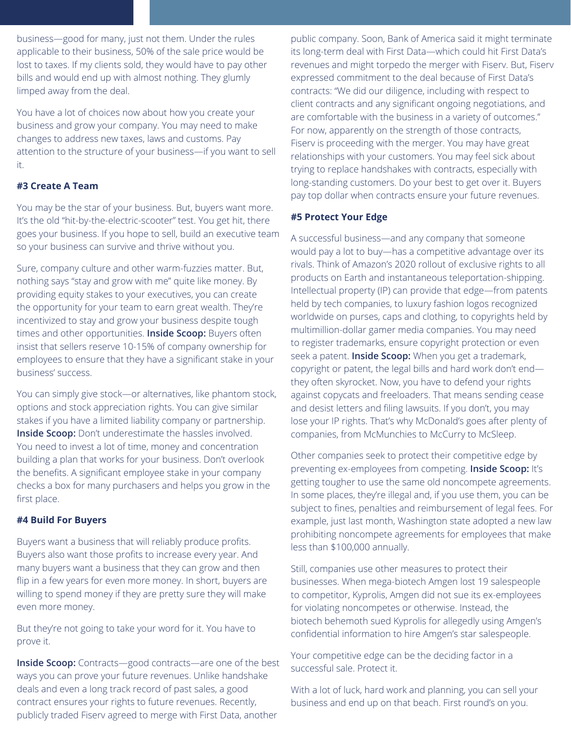business—good for many, just not them. Under the rules applicable to their business, 50% of the sale price would be lost to taxes. If my clients sold, they would have to pay other bills and would end up with almost nothing. They glumly limped away from the deal.

You have a lot of choices now about how you create your business and grow your company. You may need to make changes to address new taxes, laws and customs. Pay attention to the structure of your business—if you want to sell it.

### **#3 Create A Team**

You may be the star of your business. But, buyers want more. It's the old "hit-by-the-electric-scooter" test. You get hit, there goes your business. If you hope to sell, build an executive team so your business can survive and thrive without you.

Sure, company culture and other warm-fuzzies matter. But, nothing says "stay and grow with me" quite like money. By providing equity stakes to your executives, you can create the opportunity for your team to earn great wealth. They're incentivized to stay and grow your business despite tough times and other opportunities. **Inside Scoop:** Buyers often insist that sellers reserve 10-15% of company ownership for employees to ensure that they have a significant stake in your business' success.

You can simply give stock—or alternatives, like phantom stock, options and stock appreciation rights. You can give similar stakes if you have a limited liability company or partnership. **Inside Scoop:** Don't underestimate the hassles involved. You need to invest a lot of time, money and concentration building a plan that works for your business. Don't overlook the benefits. A significant employee stake in your company checks a box for many purchasers and helps you grow in the first place.

#### **#4 Build For Buyers**

Buyers want a business that will reliably produce profits. Buyers also want those profits to increase every year. And many buyers want a business that they can grow and then flip in a few years for even more money. In short, buyers are willing to spend money if they are pretty sure they will make even more money.

But they're not going to take your word for it. You have to prove it.

**Inside Scoop:** Contracts—good contracts—are one of the best ways you can prove your future revenues. Unlike handshake deals and even a long track record of past sales, a good contract ensures your rights to future revenues. Recently, publicly traded Fiserv agreed to merge with First Data, another

public company. Soon, Bank of America said it might terminate its long-term deal with First Data—which could hit First Data's revenues and might torpedo the merger with Fiserv. But, Fiserv expressed commitment to the deal because of First Data's contracts: "We did our diligence, including with respect to client contracts and any significant ongoing negotiations, and are comfortable with the business in a variety of outcomes." For now, apparently on the strength of those contracts, Fiserv is proceeding with the merger. You may have great relationships with your customers. You may feel sick about trying to replace handshakes with contracts, especially with long-standing customers. Do your best to get over it. Buyers pay top dollar when contracts ensure your future revenues.

#### **#5 Protect Your Edge**

A successful business—and any company that someone would pay a lot to buy—has a competitive advantage over its rivals. Think of Amazon's 2020 rollout of exclusive rights to all products on Earth and instantaneous teleportation-shipping. Intellectual property (IP) can provide that edge—from patents held by tech companies, to luxury fashion logos recognized worldwide on purses, caps and clothing, to copyrights held by multimillion-dollar gamer media companies. You may need to register trademarks, ensure copyright protection or even seek a patent. **Inside Scoop:** When you get a trademark, copyright or patent, the legal bills and hard work don't end they often skyrocket. Now, you have to defend your rights against copycats and freeloaders. That means sending cease and desist letters and filing lawsuits. If you don't, you may lose your IP rights. That's why McDonald's goes after plenty of companies, from McMunchies to McCurry to McSleep.

Other companies seek to protect their competitive edge by preventing ex-employees from competing. **Inside Scoop:** It's getting tougher to use the same old noncompete agreements. In some places, they're illegal and, if you use them, you can be subject to fines, penalties and reimbursement of legal fees. For example, just last month, Washington state adopted a new law prohibiting noncompete agreements for employees that make less than \$100,000 annually.

Still, companies use other measures to protect their businesses. When mega-biotech Amgen lost 19 salespeople to competitor, Kyprolis, Amgen did not sue its ex-employees for violating noncompetes or otherwise. Instead, the biotech behemoth sued Kyprolis for allegedly using Amgen's confidential information to hire Amgen's star salespeople.

Your competitive edge can be the deciding factor in a successful sale. Protect it.

With a lot of luck, hard work and planning, you can sell your business and end up on that beach. First round's on you.